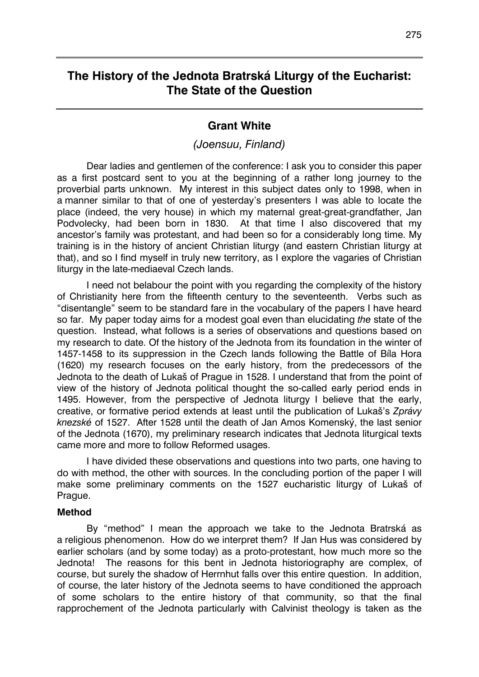# **The History of the Jednota Bratrská Liturgy of the Eucharist: The State of the Question**

## **Grant White**

## *(Joensuu, Finland)*

Dear ladies and gentlemen of the conference: I ask you to consider this paper as a first postcard sent to you at the beginning of a rather long journey to the proverbial parts unknown. My interest in this subject dates only to 1998, when in a manner similar to that of one of yesterday's presenters I was able to locate the place (indeed, the very house) in which my maternal great-great-grandfather, Jan Podvolecky, had been born in 1830. At that time I also discovered that my ancestor's family was protestant, and had been so for a considerably long time. My training is in the history of ancient Christian liturgy (and eastern Christian liturgy at that), and so I find myself in truly new territory, as I explore the vagaries of Christian liturgy in the late-mediaeval Czech lands.

I need not belabour the point with you regarding the complexity of the history of Christianity here from the fifteenth century to the seventeenth. Verbs such as "disentangle" seem to be standard fare in the vocabulary of the papers I have heard so far. My paper today aims for a modest goal even than elucidating *the* state of the question. Instead, what follows is a series of observations and questions based on my research to date. Of the history of the Jednota from its foundation in the winter of 1457-1458 to its suppression in the Czech lands following the Battle of Bíla Hora (1620) my research focuses on the early history, from the predecessors of the Jednota to the death of Lukaš of Prague in 1528. I understand that from the point of view of the history of Jednota political thought the so-called early period ends in 1495. However, from the perspective of Jednota liturgy I believe that the early, creative, or formative period extends at least until the publication of Lukaš's *Zprávy knezské* of 1527. After 1528 until the death of Jan Amos Komenský, the last senior of the Jednota (1670), my preliminary research indicates that Jednota liturgical texts came more and more to follow Reformed usages.

I have divided these observations and questions into two parts, one having to do with method, the other with sources. In the concluding portion of the paper I will make some preliminary comments on the 1527 eucharistic liturgy of Lukaš of Prague.

#### **Method**

By "method" I mean the approach we take to the Jednota Bratrská as a religious phenomenon. How do we interpret them? If Jan Hus was considered by earlier scholars (and by some today) as a proto-protestant, how much more so the Jednota! The reasons for this bent in Jednota historiography are complex, of course, but surely the shadow of Herrnhut falls over this entire question. In addition, of course, the later history of the Jednota seems to have conditioned the approach of some scholars to the entire history of that community, so that the final rapprochement of the Jednota particularly with Calvinist theology is taken as the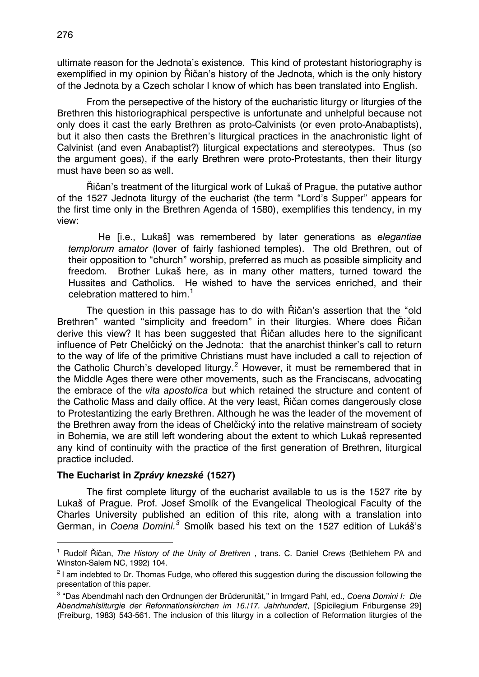ultimate reason for the Jednota's existence. This kind of protestant historiography is exemplified in my opinion by Řičan's history of the Jednota, which is the only history of the Jednota by a Czech scholar I know of which has been translated into English.

From the persepective of the history of the eucharistic liturgy or liturgies of the Brethren this historiographical perspective is unfortunate and unhelpful because not only does it cast the early Brethren as proto-Calvinists (or even proto-Anabaptists), but it also then casts the Brethren's liturgical practices in the anachronistic light of Calvinist (and even Anabaptist?) liturgical expectations and stereotypes. Thus (so the argument goes), if the early Brethren were proto-Protestants, then their liturgy must have been so as well.

Řičan's treatment of the liturgical work of Lukaš of Prague, the putative author of the 1527 Jednota liturgy of the eucharist (the term "Lord's Supper" appears for the first time only in the Brethren Agenda of 1580), exemplifies this tendency, in my view:

He [i.e., Lukaš] was remembered by later generations as *elegantiae templorum amator* (lover of fairly fashioned temples). The old Brethren, out of their opposition to "church" worship, preferred as much as possible simplicity and freedom. Brother Lukaš here, as in many other matters, turned toward the Hussites and Catholics. He wished to have the services enriched, and their celebration mattered to him.<sup>[1](#page-1-0)</sup>

The question in this passage has to do with Řičan's assertion that the "old Brethren" wanted "simplicity and freedom" in their liturgies. Where does Řičan derive this view? It has been suggested that Řičan alludes here to the significant influence of Petr Chelčický on the Jednota: that the anarchist thinker's call to return to the way of life of the primitive Christians must have included a call to rejection of the Catholic Church's developed liturgy.<sup>[2](#page-1-1)</sup> However, it must be remembered that in the Middle Ages there were other movements, such as the Franciscans, advocating the embrace of the *vita apostolica* but which retained the structure and content of the Catholic Mass and daily office. At the very least, Řičan comes dangerously close to Protestantizing the early Brethren. Although he was the leader of the movement of the Brethren away from the ideas of Chelčický into the relative mainstream of society in Bohemia, we are still left wondering about the extent to which Lukaš represented any kind of continuity with the practice of the first generation of Brethren, liturgical practice included.

#### **The Eucharist in** *Zprávy knezské* **(1527)**

-

The first complete liturgy of the eucharist available to us is the 1527 rite by Lukaš of Prague. Prof. Josef Smolík of the Evangelical Theological Faculty of the Charles University published an edition of this rite, along with a translation into German, in *Coena Domini.<sup>[3](#page-1-2)</sup>* Smolík based his text on the 1527 edition of Lukáš's

<span id="page-1-0"></span><sup>&</sup>lt;sup>1</sup> Rudolf Říčan, *The History of the Unity of Brethren*, trans. C. Daniel Crews (Bethlehem PA and Winston-Salem NC, 1992) 104.

<span id="page-1-1"></span> $2$  I am indebted to Dr. Thomas Fudge, who offered this suggestion during the discussion following the presentation of this paper.

<span id="page-1-2"></span><sup>3</sup> "Das Abendmahl nach den Ordnungen der Brüderunität," in Irmgard Pahl, ed., *Coena Domini I: Die Abendmahlsliturgie der Reformationskirchen im 16./17. Jahrhundert*, [Spicilegium Friburgense 29] (Freiburg, 1983) 543-561. The inclusion of this liturgy in a collection of Reformation liturgies of the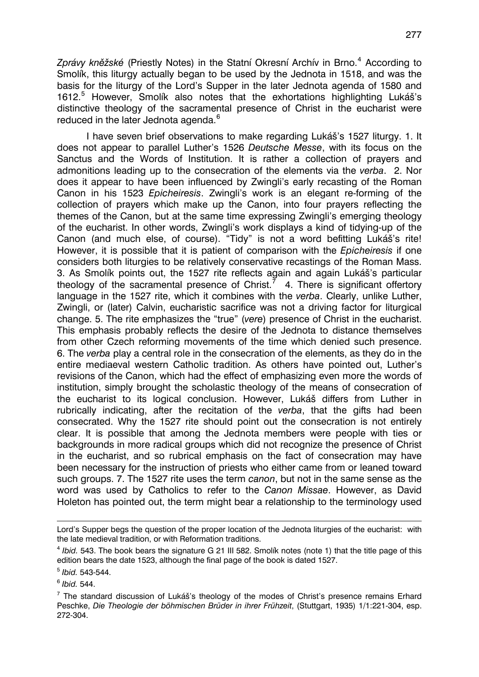*Zprávy kněžské* (Priestly Notes) in the Statní Okresní Archív in Brno.[4](#page-2-0) According to Smolík, this liturgy actually began to be used by the Jednota in 1518, and was the basis for the liturgy of the Lord's Supper in the later Jednota agenda of 1580 and 1612.<sup>[5](#page-2-1)</sup> However, Smolík also notes that the exhortations highlighting Lukáš's distinctive theology of the sacramental presence of Christ in the eucharist were reduced in the later Jednota agenda.<sup>[6](#page-2-2)</sup>

I have seven brief observations to make regarding Lukáš's 1527 liturgy. 1. It does not appear to parallel Luther's 1526 *Deutsche Messe*, with its focus on the Sanctus and the Words of Institution. It is rather a collection of prayers and admonitions leading up to the consecration of the elements via the *verba*. 2. Nor does it appear to have been influenced by Zwingli's early recasting of the Roman Canon in his 1523 *Epicheiresis*. Zwingli's work is an elegant re-forming of the collection of prayers which make up the Canon, into four prayers reflecting the themes of the Canon, but at the same time expressing Zwingli's emerging theology of the eucharist. In other words, Zwingli's work displays a kind of tidying-up of the Canon (and much else, of course). "Tidy" is not a word befitting Lukáš's rite! However, it is possible that it is patient of comparison with the *Epicheiresis* if one considers both liturgies to be relatively conservative recastings of the Roman Mass. 3. As Smolík points out, the 1527 rite reflects again and again Lukáš's particular theology of the sacramental presence of Christ.<sup>[7](#page-2-3)</sup> 4. There is significant offertory language in the 1527 rite, which it combines with the *verba*. Clearly, unlike Luther, Zwingli, or (later) Calvin, eucharistic sacrifice was not a driving factor for liturgical change. 5. The rite emphasizes the "true" (*vere*) presence of Christ in the eucharist. This emphasis probably reflects the desire of the Jednota to distance themselves from other Czech reforming movements of the time which denied such presence. 6. The *verba* play a central role in the consecration of the elements, as they do in the entire mediaeval western Catholic tradition. As others have pointed out, Luther's revisions of the Canon, which had the effect of emphasizing even more the words of institution, simply brought the scholastic theology of the means of consecration of the eucharist to its logical conclusion. However, Lukáš differs from Luther in rubrically indicating, after the recitation of the *verba*, that the gifts had been consecrated. Why the 1527 rite should point out the consecration is not entirely clear. It is possible that among the Jednota members were people with ties or backgrounds in more radical groups which did not recognize the presence of Christ in the eucharist, and so rubrical emphasis on the fact of consecration may have been necessary for the instruction of priests who either came from or leaned toward such groups. 7. The 1527 rite uses the term *canon*, but not in the same sense as the word was used by Catholics to refer to the *Canon Missae*. However, as David Holeton has pointed out, the term might bear a relationship to the terminology used

<span id="page-2-2"></span><sup>6</sup> *Ibid.* 544.

-

Lord's Supper begs the question of the proper location of the Jednota liturgies of the eucharist: with the late medieval tradition, or with Reformation traditions.

<span id="page-2-0"></span><sup>&</sup>lt;sup>4</sup> *Ibid.* 543. The book bears the signature G 21 III 582. Smolík notes (note 1) that the title page of this edition bears the date 1523, although the final page of the book is dated 1527.

<span id="page-2-1"></span><sup>5</sup> *Ibid.* 543-544.

<span id="page-2-3"></span> $<sup>7</sup>$  The standard discussion of Lukáš's theology of the modes of Christ's presence remains Erhard</sup> Peschke, *Die Theologie der böhmischen Brüder in ihrer Frühzeit*, (Stuttgart, 1935) 1/1:221-304, esp. 272-304.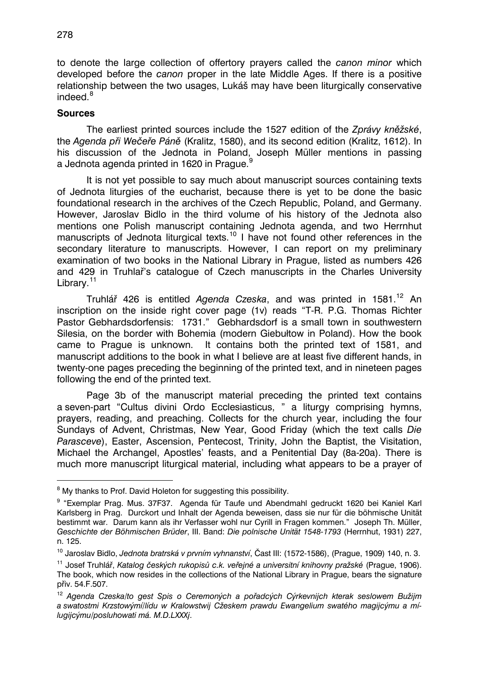to denote the large collection of offertory prayers called the *canon minor* which developed before the *canon* proper in the late Middle Ages. If there is a positive relationship between the two usages, Lukáš may have been liturgically conservative indeed. $8$ 

### **Sources**

-

The earliest printed sources include the 1527 edition of the *Zprávy kněžské*, the *Agenda při Wečeře Páně* (Kralitz, 1580), and its second edition (Kralitz, 1612). In his discussion of the Jednota in Poland, Joseph Müller mentions in passing a Jednota agenda printed in 1620 in Prague.

It is not yet possible to say much about manuscript sources containing texts of Jednota liturgies of the eucharist, because there is yet to be done the basic foundational research in the archives of the Czech Republic, Poland, and Germany. However, Jaroslav Bidlo in the third volume of his history of the Jednota also mentions one Polish manuscript containing Jednota agenda, and two Herrnhut manuscripts of Jednota liturgical texts.<sup>[10](#page-3-2)</sup> I have not found other references in the secondary literature to manuscripts. However, I can report on my preliminary examination of two books in the National Library in Prague, listed as numbers 426 and 429 in Truhlař's catalogue of Czech manuscripts in the Charles University Library.<sup>[11](#page-3-3)</sup>

Truhlář 426 is entitled *Agenda Czeska*, and was printed in 1581.<sup>[12](#page-3-4)</sup> An inscription on the inside right cover page (1v) reads "T-R. P.G. Thomas Richter Pastor Gebhardsdorfensis: 1731." Gebhardsdorf is a small town in southwestern Silesia, on the border with Bohemia (modern Giebułtow in Poland). How the book came to Prague is unknown. It contains both the printed text of 1581, and manuscript additions to the book in what I believe are at least five different hands, in twenty-one pages preceding the beginning of the printed text, and in nineteen pages following the end of the printed text.

Page 3b of the manuscript material preceding the printed text contains a seven-part "Cultus divini Ordo Ecclesiasticus, " a liturgy comprising hymns, prayers, reading, and preaching. Collects for the church year, including the four Sundays of Advent, Christmas, New Year, Good Friday (which the text calls *Die Parasceve*), Easter, Ascension, Pentecost, Trinity, John the Baptist, the Visitation, Michael the Archangel, Apostles' feasts, and a Penitential Day (8a-20a). There is much more manuscript liturgical material, including what appears to be a prayer of

<span id="page-3-0"></span><sup>&</sup>lt;sup>8</sup> My thanks to Prof. David Holeton for suggesting this possibility.

<span id="page-3-1"></span><sup>&</sup>lt;sup>9</sup> "Exemplar Prag. Mus. 37F37. Agenda für Taufe und Abendmahl gedruckt 1620 bei Kaniel Karl Karlsberg in Prag. Durckort und Inhalt der Agenda beweisen, dass sie nur für die böhmische Unität bestimmt war. Darum kann als ihr Verfasser wohl nur Cyrill in Fragen kommen." Joseph Th. Müller, *Geschichte der Böhmischen Brüder*, III. Band: *Die polnische Unität 1548-1793* (Herrnhut, 1931) 227, n. 125.

<span id="page-3-2"></span><sup>10</sup> Jaroslav Bidlo, *Jednota bratrská v prvním vyhnanství*, Čast III: (1572-1586), (Prague, 1909) 140, n. 3.

<span id="page-3-3"></span><sup>11</sup> Josef Truhlář, *Katalog českých rukopisů c.k. veřejné a universitní knihovny pražské* (Prague, 1906). The book, which now resides in the collections of the National Library in Prague, bears the signature přiv. 54.F.507.

<span id="page-3-4"></span><sup>12</sup> *Agenda Czeska/to gest Spis o Ceremoných a pořadcých Cýrkevnijch kterak seslowem Bužijm a swatostmi Krzstowýmí/lídu w Kralowstwij Cžeskem prawdu Ewangelium swatého magijcýmu a mílugijcýmu/posluhowati má. M.D.LXXXj*.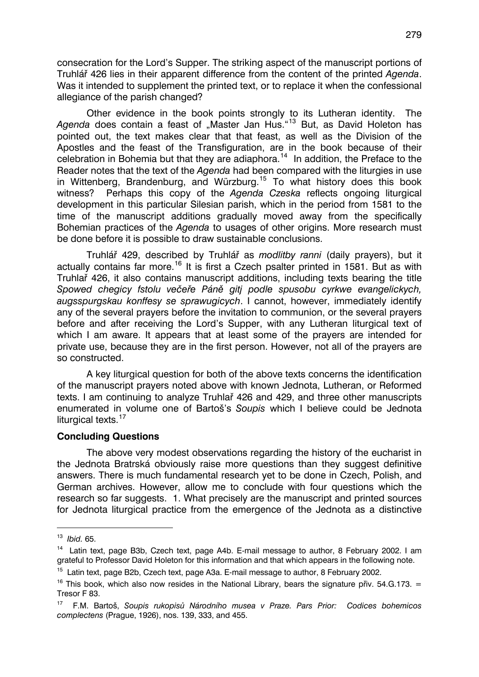consecration for the Lord's Supper. The striking aspect of the manuscript portions of Truhlář 426 lies in their apparent difference from the content of the printed *Agenda*. Was it intended to supplement the printed text, or to replace it when the confessional allegiance of the parish changed?

Other evidence in the book points strongly to its Lutheran identity. The Agenda does contain a feast of "Master Jan Hus."<sup>[13](#page-4-0)</sup> But, as David Holeton has pointed out, the text makes clear that that feast, as well as the Division of the Apostles and the feast of the Transfiguration, are in the book because of their celebration in Bohemia but that they are adiaphora.[14](#page-4-1) In addition, the Preface to the Reader notes that the text of the *Agenda* had been compared with the liturgies in use in Wittenberg, Brandenburg, and Würzburg.[15](#page-4-2) To what history does this book witness? Perhaps this copy of the *Agenda Czeska* reflects ongoing liturgical development in this particular Silesian parish, which in the period from 1581 to the time of the manuscript additions gradually moved away from the specifically Bohemian practices of the *Agenda* to usages of other origins. More research must be done before it is possible to draw sustainable conclusions.

Truhlář 429, described by Truhlář as *modlitby ranni* (daily prayers), but it actually contains far more.<sup>[16](#page-4-3)</sup> It is first a Czech psalter printed in 1581. But as with Truhlař 426, it also contains manuscript additions, including texts bearing the title *Spowed chegicy fstolu večeře Páně gitj podle spusobu cyrkwe evangelickych, augsspurgskau konffesy se sprawugicych*. I cannot, however, immediately identify any of the several prayers before the invitation to communion, or the several prayers before and after receiving the Lord's Supper, with any Lutheran liturgical text of which I am aware. It appears that at least some of the prayers are intended for private use, because they are in the first person. However, not all of the prayers are so constructed.

A key liturgical question for both of the above texts concerns the identification of the manuscript prayers noted above with known Jednota, Lutheran, or Reformed texts. I am continuing to analyze Truhlař 426 and 429, and three other manuscripts enumerated in volume one of Bartoš's *Soupis* which I believe could be Jednota liturgical texts.<sup>[17](#page-4-4)</sup>

#### **Concluding Questions**

The above very modest observations regarding the history of the eucharist in the Jednota Bratrská obviously raise more questions than they suggest definitive answers. There is much fundamental research yet to be done in Czech, Polish, and German archives. However, allow me to conclude with four questions which the research so far suggests. 1. What precisely are the manuscript and printed sources for Jednota liturgical practice from the emergence of the Jednota as a distinctive

-

<span id="page-4-0"></span><sup>13</sup> *Ibid.* 65.

<span id="page-4-1"></span><sup>&</sup>lt;sup>14</sup> Latin text, page B3b, Czech text, page A4b, E-mail message to author, 8 February 2002. Lam grateful to Professor David Holeton for this information and that which appears in the following note.

<span id="page-4-2"></span><sup>&</sup>lt;sup>15</sup> Latin text, page B2b, Czech text, page A3a. E-mail message to author, 8 February 2002.

<span id="page-4-3"></span><sup>&</sup>lt;sup>16</sup> This book, which also now resides in the National Library, bears the signature přiv. 54.G.173. = Tresor F 83.

<span id="page-4-4"></span><sup>17</sup> F.M. Bartoš, *Soupis rukopisů Národního musea v Praze. Pars Prior: Codices bohemicos complectens* (Prague, 1926), nos. 139, 333, and 455.